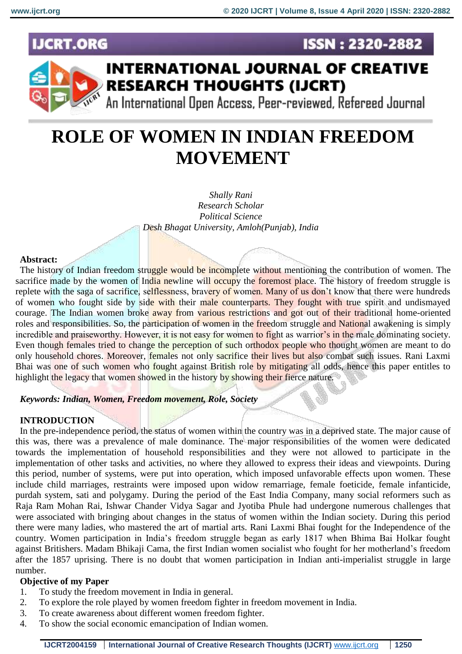**ISSN: 2320-2882** 

# **IJCRT.ORG**



# **INTERNATIONAL JOURNAL OF CREATIVE RESEARCH THOUGHTS (IJCRT)**

An International Open Access, Peer-reviewed, Refereed Journal

# **ROLE OF WOMEN IN INDIAN FREEDOM MOVEMENT**

*Shally Rani Research Scholar Political Science Desh Bhagat University, Amloh(Punjab), India*

### **Abstract:**

The history of Indian freedom struggle would be incomplete without mentioning the contribution of women. The sacrifice made by the women of India newline will occupy the foremost place. The history of freedom struggle is replete with the saga of sacrifice, selflessness, bravery of women. Many of us don't know that there were hundreds of women who fought side by side with their male counterparts. They fought with true spirit and undismayed courage. The Indian women broke away from various restrictions and got out of their traditional home-oriented roles and responsibilities. So, the participation of women in the freedom struggle and National awakening is simply incredible and praiseworthy. However, it is not easy for women to fight as warrior's in the male dominating society. Even though females tried to change the perception of such orthodox people who thought women are meant to do only household chores. Moreover, females not only sacrifice their lives but also combat such issues. Rani Laxmi Bhai was one of such women who fought against British role by mitigating all odds, hence this paper entitles to highlight the legacy that women showed in the history by showing their fierce nature.

### *Keywords: Indian, Women, Freedom movement, Role, Society*

#### **INTRODUCTION**

In the pre-independence period, the status of women within the country was in a deprived state. The major cause of this was, there was a prevalence of male dominance. The major responsibilities of the women were dedicated towards the implementation of household responsibilities and they were not allowed to participate in the implementation of other tasks and activities, no where they allowed to express their ideas and viewpoints. During this period, number of systems, were put into operation, which imposed unfavorable effects upon women. These include child marriages, restraints were imposed upon widow remarriage, female foeticide, female infanticide, purdah system, sati and polygamy. During the period of the East India Company, many social reformers such as Raja Ram Mohan Rai, Ishwar Chander Vidya Sagar and Jyotiba Phule had undergone numerous challenges that were associated with bringing about changes in the status of women within the Indian society. During this period there were many ladies, who mastered the art of martial arts. Rani Laxmi Bhai fought for the Independence of the country. Women participation in India's freedom struggle began as early 1817 when Bhima Bai Holkar fought against Britishers. Madam Bhikaji Cama, the first Indian women socialist who fought for her motherland's freedom after the 1857 uprising. There is no doubt that women participation in Indian anti-imperialist struggle in large number.

### **Objective of my Paper**

- 1. To study the freedom movement in India in general.
- 2. To explore the role played by women freedom fighter in freedom movement in India.
- 3. To create awareness about different women freedom fighter.
- 4. To show the social economic emancipation of Indian women.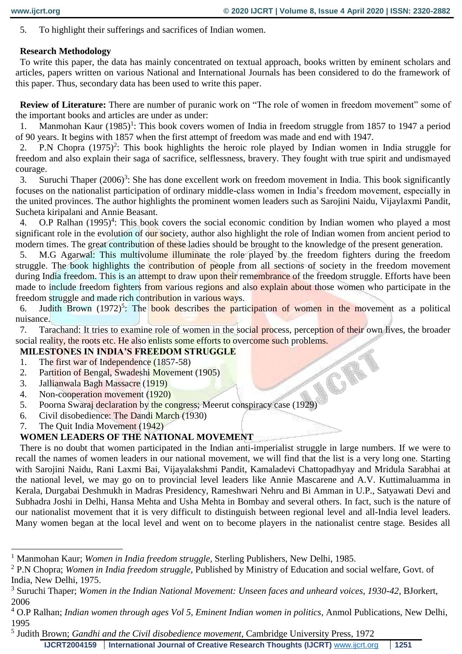5. To highlight their sufferings and sacrifices of Indian women.

# **Research Methodology**

To write this paper, the data has mainly concentrated on textual approach, books written by eminent scholars and articles, papers written on various National and International Journals has been considered to do the framework of this paper. Thus, secondary data has been used to write this paper.

**Review of Literature:** There are number of puranic work on "The role of women in freedom movement" some of the important books and articles are under as under:

1. Manmohan Kaur (1985)<sup>1</sup>: This book covers women of India in freedom struggle from 1857 to 1947 a period of 90 years. It begins with 1857 when the first attempt of freedom was made and end with 1947.

2. P.N Chopra (1975)<sup>2</sup>: This book highlights the heroic role played by Indian women in India struggle for freedom and also explain their saga of sacrifice, selflessness, bravery. They fought with true spirit and undismayed courage.

3. Suruchi Thaper  $(2006)^3$ : She has done excellent work on freedom movement in India. This book significantly focuses on the nationalist participation of ordinary middle-class women in India's freedom movement, especially in the united provinces. The author highlights the prominent women leaders such as Sarojini Naidu, Vijaylaxmi Pandit, Sucheta kiripalani and Annie Beasant.

4. O.P Ralhan  $(1995)^4$ : This book covers the social economic condition by Indian women who played a most significant role in the evolution of our society, author also highlight the role of Indian women from ancient period to modern times. The great contribution of these ladies should be brought to the knowledge of the present generation.

5. M.G Agarwal: This multivolume illuminate the role played by the freedom fighters during the freedom struggle. The book highlights the contribution of people from all sections of society in the freedom movement during India freedom. This is an attempt to draw upon their remembrance of the freedom struggle. Efforts have been made to include freedom fighters from various regions and also explain about those women who participate in the freedom struggle and made rich contribution in various ways.

6. Judith Brown (1972)<sup>5</sup>: The book describes the participation of women in the movement as a political nuisance.

7. Tarachand: It tries to examine role of women in the social process, perception of their own lives, the broader social reality, the roots etc. He also enlists some efforts to overcome such problems.

# **MILESTONES IN INDIA'S FREEDOM STRUGGLE**

- 1. The first war of Independence (1857-58)
- 2. Partition of Bengal, Swadeshi Movement (1905)
- 3. Jallianwala Bagh Massacre (1919)
- 4. Non-cooperation movement (1920)
- 5. Poorna Swaraj declaration by the congress; Meerut conspiracy case (1929)<br>5. Poorna Swaraj declaration by the congress; Meerut conspiracy case (1929)
- 6. Civil disobedience: The Dandi March (1930)
- 7. The Quit India Movement (1942)

 $\overline{a}$ 

# **WOMEN LEADERS OF THE NATIONAL MOVEMENT**

There is no doubt that women participated in the Indian anti-imperialist struggle in large numbers. If we were to recall the names of women leaders in our national movement, we will find that the list is a very long one. Starting with Sarojini Naidu, Rani Laxmi Bai, Vijayalakshmi Pandit, Kamaladevi Chattopadhyay and Mridula Sarabhai at the national level, we may go on to provincial level leaders like Annie Mascarene and A.V. Kuttimaluamma in Kerala, Durgabai Deshmukh in Madras Presidency, Rameshwari Nehru and Bi Amman in U.P., Satyawati Devi and Subhadra Joshi in Delhi, Hansa Mehta and Usha Mehta in Bombay and several others. In fact, such is the nature of our nationalist movement that it is very difficult to distinguish between regional level and all-India level leaders. Many women began at the local level and went on to become players in the nationalist centre stage. Besides all

<sup>1</sup> Manmohan Kaur; *Women in India freedom struggle,* Sterling Publishers, New Delhi, 1985.

<sup>2</sup> P.N Chopra; *Women in India freedom struggle,* Published by Ministry of Education and social welfare, Govt. of India, New Delhi, 1975.

<sup>&</sup>lt;sup>3</sup> Suruchi Thaper; *Women in the Indian National Movement: Unseen faces and unheard voices, 1930-42, BJorkert,* 2006

<sup>&</sup>lt;sup>4</sup> O.P Ralhan; *Indian women through ages Vol 5, Eminent Indian women in politics*, Anmol Publications, New Delhi, 1995

**IJCRT2004159 International Journal of Creative Research Thoughts (IJCRT)** [www.ijcrt.org](http://www.ijcrt.org/) **1251** 5 Judith Brown; *Gandhi and the Civil disobedience movement,* Cambridge University Press, 1972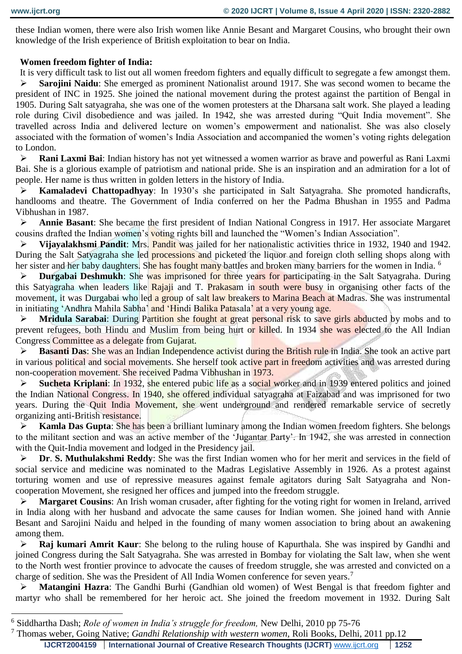$\overline{a}$ 

these Indian women, there were also Irish women like Annie Besant and Margaret Cousins, who brought their own knowledge of the Irish experience of British exploitation to bear on India.

### **Women freedom fighter of India:**

It is very difficult task to list out all women freedom fighters and equally difficult to segregate a few amongst them.

 **Sarojini Naidu**: She emerged as prominent Nationalist around 1917. She was second women to became the president of INC in 1925. She joined the national movement during the protest against the partition of Bengal in 1905. During Salt satyagraha, she was one of the women protesters at the Dharsana salt work. She played a leading role during Civil disobedience and was jailed. In 1942, she was arrested during "Quit India movement". She travelled across India and delivered lecture on women's empowerment and nationalist. She was also closely associated with the formation of women's India Association and accompanied the women's voting rights delegation to London.

 **Rani Laxmi Bai**: Indian history has not yet witnessed a women warrior as brave and powerful as Rani Laxmi Bai. She is a glorious example of patriotism and national pride. She is an inspiration and an admiration for a lot of people. Her name is thus written in golden letters in the history of India.

 **Kamaladevi Chattopadhyay**: In 1930's she participated in Salt Satyagraha. She promoted handicrafts, handlooms and theatre. The Government of India conferred on her the Padma Bhushan in 1955 and Padma Vibhushan in 1987.

 **Annie Basant**: She became the first president of Indian National Congress in 1917. Her associate Margaret cousins drafted the Indian women's voting rights bill and launched the "Women's Indian Association".

 **Vijayalakhsmi Pandit**: Mrs. Pandit was jailed for her nationalistic activities thrice in 1932, 1940 and 1942. During the Salt Satyagraha she led **processions** and picketed the liquor and foreign cloth selling shops along with her sister and her baby daughters. She has fought many battles and broken many barriers for the women in India. <sup>6</sup>

**Durgabai Deshmukh**: She was imprisoned for three years for participating in the Salt Satyagraha. During this Satyagraha when leaders like Rajaji and T. Prakasam in south were busy in organising other facts of the movement, it was Durgabai who led a group of salt law breakers to Marina Beach at Madras. She was instrumental in initiating 'Andhra Mahila Sabha' and 'Hindi Balika Patasala' at a very young age.

**Mridula Sarabai**: During Partition she fought at great personal risk to save girls abducted by mobs and to prevent refugees, both Hindu and Muslim from being hurt or killed. In 1934 she was elected to the All Indian Congress Committee as a delegate from Gujarat.

 **Basanti Das**: She was an Indian Independence activist during the British rule in India. She took an active part in various political and social movements. She herself took active part in freedom activities and was arrested during non-cooperation movement. She received Padma Vibhushan in 1973.

 **Sucheta Kriplani**: In 1932, she entered pubic life as a social worker and in 1939 entered politics and joined the Indian National Congress. In 1940, she offered individual satyagraha at Faizabad and was imprisoned for two years. During the Quit India Movement, she went underground and rendered remarkable service of secretly organizing anti-British resistance.

 **Kamla Das Gupta**: She has been a brilliant luminary among the Indian women freedom fighters. She belongs to the militant section and was an active member of the 'Jugantar Party'. In 1942, she was arrested in connection with the Quit-India movement and lodged in the Presidency jail.

 **Dr**. **S. Muthulakshmi Reddy**: She was the first Indian women who for her merit and services in the field of social service and medicine was nominated to the Madras Legislative Assembly in 1926. As a protest against torturing women and use of repressive measures against female agitators during Salt Satyagraha and Noncooperation Movement, she resigned her offices and jumped into the freedom struggle.

 **Margaret Cousins**: An Irish woman crusader, after fighting for the voting right for women in Ireland, arrived in India along with her husband and advocate the same causes for Indian women. She joined hand with Annie Besant and Sarojini Naidu and helped in the founding of many women association to bring about an awakening among them.

 **Raj kumari Amrit Kaur**: She belong to the ruling house of Kapurthala. She was inspired by Gandhi and joined Congress during the Salt Satyagraha. She was arrested in Bombay for violating the Salt law, when she went to the North west frontier province to advocate the causes of freedom struggle, she was arrested and convicted on a charge of sedition. She was the President of All India Women conference for seven years.<sup>7</sup>

 **Matangini Hazra**: The Gandhi Burhi (Gandhian old women) of West Bengal is that freedom fighter and martyr who shall be remembered for her heroic act. She joined the freedom movement in 1932. During Salt

**IJCRT2004159 International Journal of Creative Research Thoughts (IJCRT)** [www.ijcrt.org](http://www.ijcrt.org/) **1252**

<sup>6</sup> Siddhartha Dash; *Role of women in India's struggle for freedom,* New Delhi, 2010 pp 75-76

<sup>7</sup> Thomas weber, Going Native; *Gandhi Relationship with western women,* Roli Books, Delhi, 2011 pp.12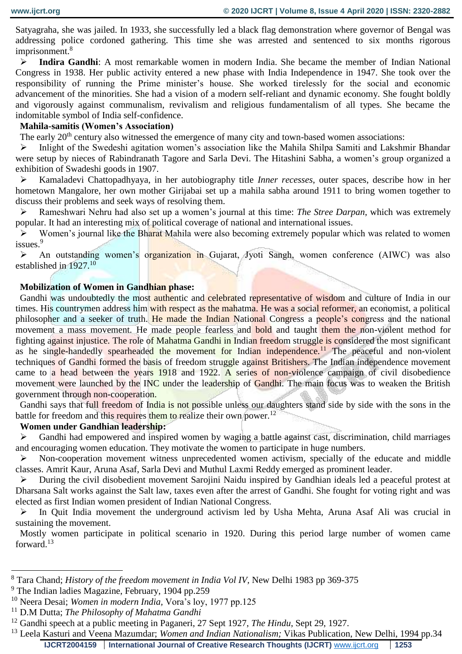Satyagraha, she was jailed. In 1933, she successfully led a black flag demonstration where governor of Bengal was addressing police cordoned gathering. This time she was arrested and sentenced to six months rigorous imprisonment.<sup>8</sup>

 **Indira Gandhi**: A most remarkable women in modern India. She became the member of Indian National Congress in 1938. Her public activity entered a new phase with India Independence in 1947. She took over the responsibility of running the Prime minister's house. She worked tirelessly for the social and economic advancement of the minorities. She had a vision of a modern self-reliant and dynamic economy. She fought boldly and vigorously against communalism, revivalism and religious fundamentalism of all types. She became the indomitable symbol of India self-confidence.

#### **Mahila-samitis (Women's Association)**

The early 20<sup>th</sup> century also witnessed the emergence of many city and town-based women associations:

 Inlight of the Swedeshi agitation women's association like the Mahila Shilpa Samiti and Lakshmir Bhandar were setup by nieces of Rabindranath Tagore and Sarla Devi. The Hitashini Sabha, a women's group organized a exhibition of Swadeshi goods in 1907.

 Kamaladevi Chattopadhyaya, in her autobiography title *Inner recesses*, outer spaces, describe how in her hometown Mangalore, her own mother Girijabai set up a mahila sabha around 1911 to bring women together to discuss their problems and seek ways of resolving them.

 Rameshwari Nehru had also set up a women's journal at this time: *The Stree Darpan*, which was extremely popular. It had an interesting mix of political coverage of national and international issues.

 Women's journal like the Bharat Mahila were also becoming extremely popular which was related to women issues.<sup>9</sup>

 An outstanding women's organization in Gujarat, Jyoti Sangh, women conference (AIWC) was also established in 1927.<sup>10</sup>

#### **Mobilization of Women in Gandhian phase:**

Gandhi was undoubtedly the most authentic and celebrated representative of wisdom and culture of India in our times. His countrymen address him with respect as the mahatma. He was a social reformer, an economist, a political philosopher and a seeker of truth. He made the Indian National Congress a people's congress and the national movement a mass movement. He made people fearless and bold and taught them the non-violent method for fighting against injustice. The role of Mahatma Gandhi in Indian freedom struggle is considered the most significant as he single-handedly spearheaded the movement for Indian independence.<sup>11</sup> The peaceful and non-violent techniques of Gandhi formed the basis of freedom struggle against Britishers. The Indian independence movement came to a head between the years 1918 and 1922. A series of non-violence campaign of civil disobedience movement were launched by the INC under the leadership of Gandhi. The main focus was to weaken the British government through non-cooperation.

Gandhi says that full freedom of India is not possible unless our daughters stand side by side with the sons in the battle for freedom and this requires them to realize their own power.<sup>12</sup>

### **Women under Gandhian leadership:**

 Gandhi had empowered and inspired women by waging a battle against cast, discrimination, child marriages and encouraging women education. They motivate the women to participate in huge numbers.

 $\triangleright$  Non-cooperation movement witness unprecedented women activism, specially of the educate and middle classes. Amrit Kaur, Aruna Asaf, Sarla Devi and Muthul Laxmi Reddy emerged as prominent leader.

 During the civil disobedient movement Sarojini Naidu inspired by Gandhian ideals led a peaceful protest at Dharsana Salt works against the Salt law, taxes even after the arrest of Gandhi. She fought for voting right and was elected as first Indian women president of Indian National Congress.

 In Quit India movement the underground activism led by Usha Mehta, Aruna Asaf Ali was crucial in sustaining the movement.

Mostly women participate in political scenario in 1920. During this period large number of women came forward.<sup>13</sup>

 $\overline{a}$ 

<sup>8</sup> Tara Chand; *History of the freedom movement in India Vol IV,* New Delhi 1983 pp 369-375

<sup>9</sup> The Indian ladies Magazine, February, 1904 pp.259

<sup>10</sup> Neera Desai; *Women in modern India,* Vora's loy, 1977 pp.125

<sup>11</sup> D.M Dutta; *The Philosophy of Mahatma Gandhi*

<sup>12</sup> Gandhi speech at a public meeting in Paganeri, 27 Sept 1927, *The Hindu*, Sept 29, 1927.

**IJCRT2004159 International Journal of Creative Research Thoughts (IJCRT)** [www.ijcrt.org](http://www.ijcrt.org/) **1253** <sup>13</sup> Leela Kasturi and Veena Mazumdar; *Women and Indian Nationalism;* Vikas Publication, New Delhi, 1994 pp.34